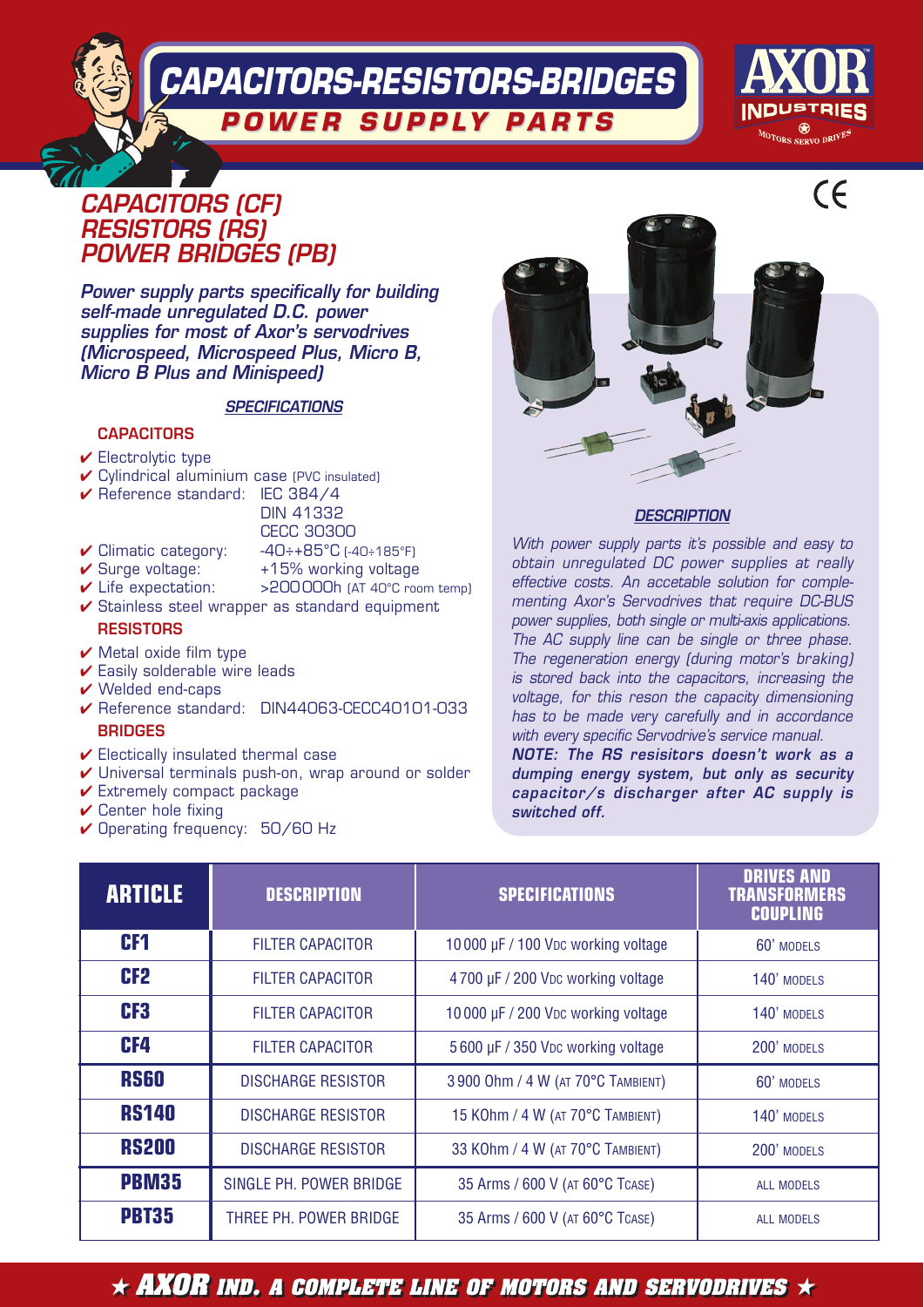**CAPACITORS-RESISTORS-BRIDGES POWER SUPPL POWER SUPPLY P A R T S** 



## **CAPACITORS (CF) RESISTORS (RS) POWER BRIDGES (PB)**

**Power supply parts specifically for building self-made unregulated D.C. power supplies for most of Axor's servodrives (Microspeed, Microspeed Plus, Micro B, Micro B Plus and Minispeed)**

#### **SPECIFICATIONS**

#### **CAPACITORS**

- $\vee$  Electrolytic type
- ✔ Cylindrical aluminium case (PVC insulated)
- ✔ Reference standard: IEC 384/4

#### DIN 41332

- CECC 30300
- ✔ Climatic category: -40÷+85°C (-40÷185°F)
- $\overline{\smash{\leftarrow}}$  Surge voltage:  $+15\%$  working voltage
- 
- ✔ Life expectation: >200 000h (AT 40°C room temp)
- ✔ Stainless steel wrapper as standard equipment **RESISTORS**
- $\vee$  Metal oxide film type
- $\checkmark$  Easily solderable wire leads
- $\vee$  Welded end-caps
- ✔ Reference standard: DIN44063-CECC40101-033 **BRIDGES**
- $\checkmark$  Electically insulated thermal case
- ✔ Universal terminals push-on, wrap around or solder
- $\checkmark$  Extremely compact package
- $\checkmark$  Center hole fixing
- ✔ Operating frequency: 50/60 Hz



#### **DESCRIPTION**

With power supply parts it's possible and easy to obtain unregulated DC power supplies at really effective costs. An accetable solution for complementing Axor's Servodrives that require DC-BUS power supplies, both single or multi-axis applications. The AC supply line can be single or three phase. The regeneration energy (during motor's braking) is stored back into the capacitors, increasing the voltage, for this reson the capacity dimensioning has to be made very carefully and in accordance with every specific Servodrive's service manual. **NOTE: The RS resisitors doesn't work as a dumping energy system, but only as security capacitor/s discharger after AC supply is**

**switched off.**

| <b>ARTICLE</b>  | <b>DESCRIPTION</b>        | <b>SPECIFICATIONS</b>              | <b>DRIVES AND</b><br><b>TRANSFORMERS</b><br><b>COUPLING</b> |
|-----------------|---------------------------|------------------------------------|-------------------------------------------------------------|
| CF <sub>1</sub> | <b>FILTER CAPACITOR</b>   | 10000 µF / 100 Vpc working voltage | 60' MODELS                                                  |
| CF <sub>2</sub> | <b>FILTER CAPACITOR</b>   | 4700 µF / 200 VDc working voltage  | 140' MODELS                                                 |
| CF <sub>3</sub> | <b>FILTER CAPACITOR</b>   | 10000 µF / 200 Vpc working voltage | 140' MODELS                                                 |
| CF4             | <b>FILTER CAPACITOR</b>   | 5600 µF / 350 Vpc working voltage  | 200' MODELS                                                 |
| <b>RS60</b>     | <b>DISCHARGE RESISTOR</b> | 3 900 Ohm / 4 W (AT 70°C TAMBIENT) | 60' MODELS                                                  |
| <b>RS140</b>    | <b>DISCHARGE RESISTOR</b> | 15 KOhm / 4 W (AT 70°C TAMBIENT)   | 140' MODELS                                                 |
| <b>RS200</b>    | <b>DISCHARGE RESISTOR</b> | 33 KOhm / 4 W (AT 70°C TAMBIENT)   | 200' MODELS                                                 |
| <b>PBM35</b>    | SINGLE PH. POWER BRIDGE   | 35 Arms / 600 V (AT 60°C TCASE)    | <b>ALL MODELS</b>                                           |
| <b>PBT35</b>    | THREE PH. POWER BRIDGE    | 35 Arms / 600 V (AT 60°C TCASE)    | <b>ALL MODELS</b>                                           |

 $\star$  AXOR ind. A complete line of motors and servodrives  $\star$